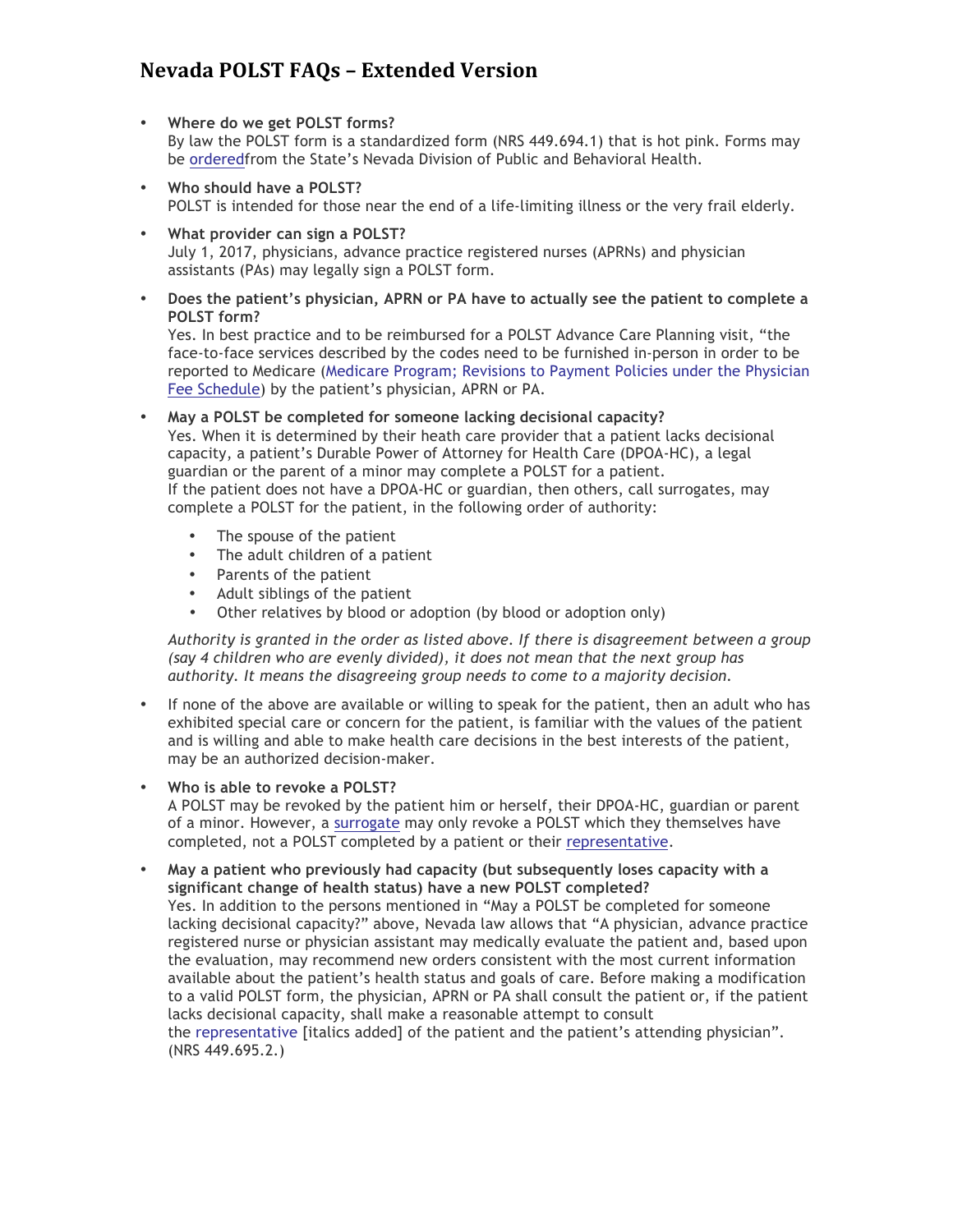# **Nevada POLST FAQs – Extended Version**

- **Where do we get POLST forms?** By law the POLST form is a standardized form (NRS 449.694.1) that is hot pink. Forms may be orderedfrom the State's Nevada Division of Public and Behavioral Health.
- **Who should have a POLST?** POLST is intended for those near the end of a life-limiting illness or the very frail elderly.
- **What provider can sign a POLST?** July 1, 2017, physicians, advance practice registered nurses (APRNs) and physician assistants (PAs) may legally sign a POLST form.
- **Does the patient's physician, APRN or PA have to actually see the patient to complete a POLST form?**

Yes. In best practice and to be reimbursed for a POLST Advance Care Planning visit, "the face-to-face services described by the codes need to be furnished in-person in order to be reported to Medicare (Medicare Program; Revisions to Payment Policies under the Physician Fee Schedule) by the patient's physician, APRN or PA.

• **May a POLST be completed for someone lacking decisional capacity?** Yes. When it is determined by their heath care provider that a patient lacks decisional capacity, a patient's Durable Power of Attorney for Health Care (DPOA-HC), a legal guardian or the parent of a minor may complete a POLST for a patient. If the patient does not have a DPOA-HC or guardian, then others, call surrogates, may complete a POLST for the patient, in the following order of authority:

- The spouse of the patient
- The adult children of a patient
- Parents of the patient<br>• Adult siblings of the pa
- Adult siblings of the patient
- Other relatives by blood or adoption (by blood or adoption only)

*Authority is granted in the order as listed above. If there is disagreement between a group (say 4 children who are evenly divided), it does not mean that the next group has authority. It means the disagreeing group needs to come to a majority decision.*

- If none of the above are available or willing to speak for the patient, then an adult who has exhibited special care or concern for the patient, is familiar with the values of the patient and is willing and able to make health care decisions in the best interests of the patient, may be an authorized decision-maker.
- **Who is able to revoke a POLST?** A POLST may be revoked by the patient him or herself, their DPOA-HC, guardian or parent of a minor. However, a surrogate may only revoke a POLST which they themselves have completed, not a POLST completed by a patient or their representative.

• **May a patient who previously had capacity (but subsequently loses capacity with a significant change of health status) have a new POLST completed?** Yes. In addition to the persons mentioned in "May a POLST be completed for someone lacking decisional capacity?" above, Nevada law allows that "A physician, advance practice registered nurse or physician assistant may medically evaluate the patient and, based upon the evaluation, may recommend new orders consistent with the most current information available about the patient's health status and goals of care. Before making a modification to a valid POLST form, the physician, APRN or PA shall consult the patient or, if the patient lacks decisional capacity, shall make a reasonable attempt to consult the representative [italics added] of the patient and the patient's attending physician". (NRS 449.695.2.)